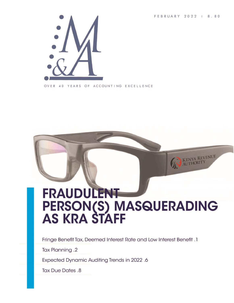FEBRUARY 2022 | 8.80

KENYA REVENUE



OVER 40 YEARS OF ACCOUNTING EXCELLENCE

# **FRAUDULENT** PERSON(S) MASQUERADING<br>AS KRA STAFF

Fringe Benefit Tax, Deemed Interest Rate and Low Interest Benefit .1

Tax Planning .2

**Expected Dynamic Auditing Trends in 2022.6** 

**Tax Due Dates .8**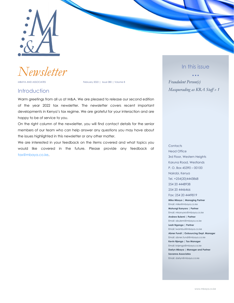

*Newsletter*

MBAYA AND ASSOCIATES **February 2022** | Issue 080 | Volume 8

### **Introduction**

Warm greetings from all us at M&A. We are pleased to release our second edition of the year 2022 tax newsletter. The newsletter covers recent important developments in Kenya's tax regime. We are grateful for your interaction and are happy to be of service to you.

On the right column of the newsletter, you will find contact details for the senior members of our team who can help answer any questions you may have about the issues highlighted in this newsletter or any other matter.

We are interested in your feedback on the items covered and what topics you would like covered in the future. Please provide any feedback at [tax@mbaya.co.ke.](file:///C:/Users/ihink/Desktop/M&A%20Newsletter/Final_2022_vol8_issue79-90/tax@mbaya.co.ke)

#### In this issue

• • • *Fraudulent Person(s) Masquerading as KRA Staff » 1*

#### Head Office 3rd Floor, Western Heights Karuna Road, Westlands P. O. Box 45390 – 00100 Nairobi, Kenya Tel. +254(20)4443868 254 20 4448938 254 20 4446466 Fax: 254 20 4449819 **Mike Mbaya | Managing Partner** Email: mike@mbaya.co.ke **Muhungi Kanyoro | Partner** Email: mkanyoro@mbaya.co.ke **Andrew Bulemi | Partner** Email: abulemi@mbaya.co.ke **Leah Nganga | Partner** Email: lwambui@mbaya.co.ke

**Contacts** 

**Abner Fundi | Outsourcing Dept. Manager** Email: abner.fundi@mbaya.co.ke **Kevin Njenga | Tax Manager** Email: knjenga@mbaya.co.ke **Darlyn Mbaya | Manager and Partner Savanna Associates**

Email: darlyn@mbaya.co.ke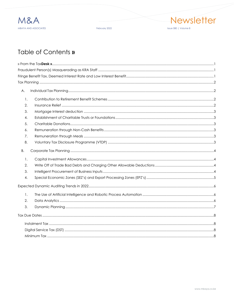

February 2022



## Table of Contents »

| А.             |  |
|----------------|--|
| $\mathbf{1}$ . |  |
| 2.             |  |
| 3.             |  |
| 4.             |  |
| 5.             |  |
| 6.             |  |
| 7.             |  |
| 8.             |  |
| B.             |  |
| 1.             |  |
| 2.             |  |
| 3.             |  |
| 4.             |  |
|                |  |
| 1.             |  |
| 2.             |  |
| 3.             |  |
|                |  |
|                |  |
|                |  |
|                |  |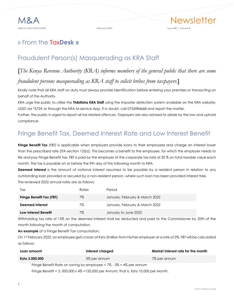

## <span id="page-3-0"></span>» From the Tax**Desk »**

## <span id="page-3-1"></span>Fraudulent Person(s) Masquerading as KRA Staff

## [*The Kenya Revenue Authority (KRA) informs members of the general public that there are some fraudulent persons masquerading as KRA staff to solicit bribes from taxpayers.*]

Kindly note that all KRA staff on duty must always provide identification before entering your premises or transacting on behalf of the Authority.

KRA urge the public to utilise the **Thibitisha KRA Staff** using the imposter detection system available on the KRA website; USSD via \*572# or through the KRA M-service App. If in doubt, call 0726984668 and report the matter.

Further, the public is urged to report all tax related offences. Taxpayers are also advised to abide by the law and uphold compliance.

## <span id="page-3-2"></span>Fringe Benefit Tax, Deemed Interest Rate and Low Interest Benefit

**Fringe Benefit Tax** (FBT) is applicable when employers provide loans to their employees and charge an interest lower than the prescribed rate (ITA-section 12(b)). This becomes a benefit to the employee, for which the employer needs to file and pay Fringe Benefit Tax. FBT is paid by the employer at the corporate tax rate of 30 % on total taxable value each month. The tax is payable on or before the 9th day of the following month to KRA.

**Deemed Interest** is the amount of notional interest assumed to be payable by a resident person in relation to any outstanding loan provided or secured by a non-resident person, where such loan has been provided interest free. The reviewed 2022 annual rates are as follows:

| <b>Tax</b>                      | Rates | Period                         |
|---------------------------------|-------|--------------------------------|
| <b>Fringe Benefit Tax (FBT)</b> | 7%    | January, February & March 2022 |
| Deemed Interest                 | 7%    | January, February & March 2022 |
| Low Interest Benefit            | 7%    | January to June 2022           |

Withholding tax rate of 15% on the deemed interest shall be deducted and paid to the Commissioner by 20th of the month following the month of computation.

**An example** of a Fringe Benefit Tax computation:

On 1st February 2022, an employee gets a loan of Kshs 3million from his/her employer at a rate of 3%. FBT will be calculated as follows:

| Loan amount    | Interest charged                                                            | Market Interest rate for the month |  |
|----------------|-----------------------------------------------------------------------------|------------------------------------|--|
| Kshs 3,000,000 | 3% per annum                                                                | 7% per annum                       |  |
|                | Fringe Benefit Rate on saving by employee = $7\%$ - $3\%$ = $4\%$ per annum |                                    |  |

Fringe Benefit = 3, 000,000 x 4% =120,000 per Annum; that is, Kshs 10,000 per Month.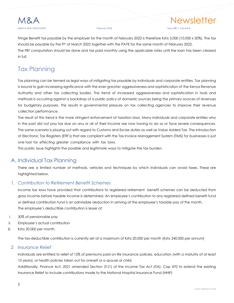

MBAYA AND ASSOCIATES February 2022 Issue 080 | Volume 8

Fringe Benefit tax payable by the employer for the month of February 2022 is therefore Kshs 3,000 (10,000 x 30%). The tax should be payable by the 9<sup>th</sup> of March 2022 together with the PAYE for the same month of February 2022. The FBT computation should be done and tax paid monthly using the applicable rates until the loan has been cleared in full.

## <span id="page-4-0"></span>Tax Planning

Tax planning can be termed as legal ways of mitigating tax payable by individuals and corporate entities. Tax planning is bound to gain increasing significance with the ever-greater aggressiveness and sophistication of the Kenya Revenue Authority and other tax collecting bodies. The trend of increased aggressiveness and sophistication in tools and methods is occurring against a backdrop of a public policy of domestic sources being the primary sources of revenues for budgetary purposes. This results in governmental pressure on tax collecting agencies to improve their revenue collection performance.

The result of this trend is the more stringent enforcement of taxation laws. Many individuals and corporate entities who in the past did not pay tax due on any or all of their income are now having to do so or face severe consequences. The same scenario is playing out with regard to Customs and Excise duties as well as Value Added Tax. The introduction of Electronic Tax Registers (ETR's) that are compliant with the Tax Invoice Management System (TIMS) for businesses is just one tool for effecting greater compliance with tax laws.

This public issue highlights the possible and legitimate ways to mitigate the tax burden.

#### <span id="page-4-1"></span>A. Individual Tax Planning

There are a limited number of methods, vehicles and techniques by which individuals can avoid taxes. These are highlighted below.

#### <span id="page-4-2"></span>*1. Contribution to Retirement Benefit Schemes*

Income tax laws have provided that contributions to registered retirement benefit schemes can be deducted from gross income before taxable income is determined. An employee's contribution to any registered defined benefit fund or defined contribution fund is an admissible deduction in arriving at the employee's taxable pay of the month. The employee's deductible contribution is lesser of:

- i. 30% of pensionable pay
- ii. Employee's actual contribution
- iii. Kshs 20,000 per month.

The tax-deductible contribution is currently set at a maximum of Kshs 20,000 per month (Kshs 240,000 per annum)

#### <span id="page-4-3"></span>*2. Insurance Relief*

Individuals are entitled to relief of 15% of premiums paid on life insurance policies, education (with a maturity of at least 10 years), or health policies taken out for oneself or a spouse or child.

Additionally, Finance Act, 2021 amended Section 31(1) of the Income Tax Act (ITA), Cap 470 to extend the existing Insurance Relief to include contributions made to the National Hospital Insurance Fund (NHIF)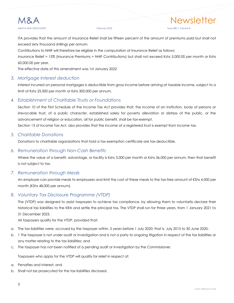

#### MBAYA AND ASSOCIATES February 2022 Issue 080 | Volume 8

ITA provides that the amount of Insurance Relief shall be fifteen percent of the amount of premiums paid but shall not exceed sixty thousand shillings per annum.

Contributions to NHIF will therefore be eligible in the computation of Insurance Relief as follows:

Insurance Relief = 15% (Insurance Premiums + NHIF Contributions) but shall not exceed Kshs 5,000.00 per month or Kshs 60,000.00 per year.

The effective date of this amendment was 1st January 2022

#### <span id="page-5-0"></span>*3. Mortgage Interest deduction*

Interest incurred on personal mortgages is deductible from gross income before arriving at taxable income, subject to a limit of Kshs 25,000 per month or Kshs 300,000 per annum.

#### <span id="page-5-1"></span>*4. Establishment of Charitable Trusts or Foundations*

Section 10 of the First Schedule of the Income Tax Act provides that; the income of an institution, body of persons or irrevocable trust, of a public character, established solely for poverty alleviation or distress of the public, or the advancement of religion or education, all for public benefit, shall be tax-exempt.

Section 13 of Income Tax Act, also provides that the income of a registered trust is exempt from income tax.

#### <span id="page-5-2"></span>*5. Charitable Donations*

Donations to charitable organizations that hold a tax exemption certificate are tax-deductible.

#### <span id="page-5-3"></span>*6. Remuneration through Non-Cash Benefits*

Where the value of a benefit, advantage, or facility is Kshs 3,000 per month or Kshs 36,000 per annum, then that benefit is not subject to tax.

#### <span id="page-5-4"></span>*7. Remuneration through Meals*

An employer can provide meals to employees and limit the cost of these meals to the tax-free amount of KShs 4,000 per month (KShs 48,000 per annum).

#### <span id="page-5-5"></span>*8. Voluntary Tax Disclosure Programme (VTDP)*

The (VTDP) was designed to assist taxpayers to achieve tax compliance, by allowing them to voluntarily declare their historical tax liabilities to the KRA and settle the principal tax. The VTDP shall run for three years, from 1 January 2021 to 31 December 2023.

All taxpayers qualify for the VTDP, provided that:

- a. The tax liabilities were, accrued by the taxpayer within, 5 years before 1 July 2020; that is, July 2015 to 30 June 2020;
- b. 1 The taxpayer is not under audit or investigation and is not a party to ongoing litigation in respect of the tax liabilities or any matter relating to the tax liabilities; and
- c. The taxpayer has not been notified of a pending audit or investigation by the Commissioner.

Taxpayers who apply for the VTDP will qualify for relief in respect of:

- a. Penalties and interest; and
- b. Shall not be prosecuted for the tax liabilities disclosed.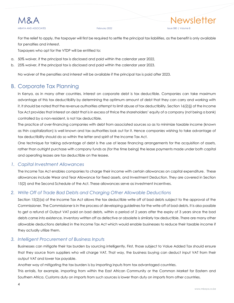For the relief to apply, the taxpayer will first be required to settle the principal tax liabilities, as the benefit is only available for penalties and interest.

Taxpayers who opt for the VTDP will be entitled to:

- a. 50% waiver, if the principal tax is disclosed and paid within the calendar year 2022,
- b. 25% waiver, if the principal tax is disclosed and paid within the calendar year 2023.

No waiver of the penalties and interest will be available if the principal tax is paid after 2023.

#### <span id="page-6-0"></span>B. Corporate Tax Planning

In Kenya, as in many other countries, interest on corporate debt is tax deductible. Companies can take maximum advantage of this tax deductibility by determining the optimum amount of debt that they can carry and working with it. It should be noted that the revenue authorities attempt to limit abuse of tax deductibility. Section 16(2)(j) of the Income Tax Act provides that interest on debt that is in excess of thrice the shareholders' equity of a company (not being a bank) controlled by a non-resident, is not tax deductible.

The practice of over-financing companies with debt from associated sources so as to minimize taxable income (known as thin capitalization) is well known and tax authorities look out for it. Hence companies wishing to take advantage of tax deductibility should do so within the letter and spirit of the Income Tax Act.

One technique for taking advantage of debt is the use of lease financing arrangements for the acquisition of assets, rather than outright purchase with company funds as (for the time being) the lease payments made under both capital and operating leases are tax deductible on the lessee.

#### <span id="page-6-1"></span>*1. Capital Investment Allowances*

The Income Tax Act enables companies to charge their income with certain allowances on capital expenditure. These allowances include Wear and Tear Allowance for fixed assets, and Investment Deduction. They are covered in Section 15(2) and the Second Schedule of the Act. These allowances serve as investment incentives.

#### <span id="page-6-2"></span>*2. Write Off of Trade Bad Debts and Charging Other Allowable Deductions*

Section 15(2)(a) of the Income Tax Act allows the tax deductible write off of bad debts subject to the approval of the Commissioner. The Commissioner is in the process of developing guidelines for the write off of bad debts. It is also possible to get a refund of Output VAT paid on bad debts, within a period of 2 years after the expiry of 3 years since the bad debts came into existence. Inventory written off as defective or obsolete is similarly tax deductible. There are many other allowable deductions detailed in the Income Tax Act which would enable businesses to reduce their taxable income if they actually utilize them.

#### <span id="page-6-3"></span>*3. Intelligent Procurement of Business Inputs*

Businesses can mitigate their tax burden by sourcing intelligently. First, those subject to Value Added Tax should ensure that they source from suppliers who will charge VAT. That way, the business buying can deduct input VAT from their output VAT and lower tax payable.

Another way of mitigating the tax burden is by importing inputs from tax advantaged countries.

This entails, for example, importing from within the East African Community or the Common Market for Eastern and Southern Africa. Customs duty on imports from such sources is lower than duty on imports from other countries.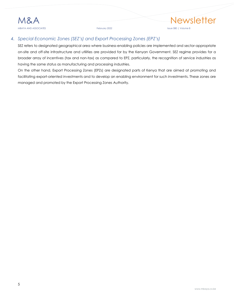#### <span id="page-7-0"></span>*4. Special Economic Zones (SEZ's) and Export Processing Zones (EPZ's)*

SEZ refers to designated geographical area where business-enabling policies are implemented and sector-appropriate on-site and off-site infrastructure and utilities are provided for by the Kenyan Government. SEZ regime provides for a broader array of incentives (tax and non-tax) as compared to EPZ, particularly, the recognition of service industries as having the same status as manufacturing and processing industries.

On the other hand, Export Processing Zones (EPZs) are designated parts of Kenya that are aimed at promoting and facilitating export-oriented investments and to develop an enabling environment for such investments. These zones are managed and promoted by the Export Processing Zones Authority.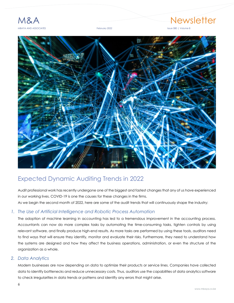

## M&A Newsletter



## <span id="page-8-0"></span>Expected Dynamic Auditing Trends in 2022

Audit professional work has recently undergone one of the biggest and fastest changes that any of us have experienced in our working lives. COVID-19 is one the causes for these changes in the firms. As we begin the second month of 2022, here are some of the audit trends that will continuously shape the industry:

#### <span id="page-8-1"></span>*1. The Use of Artificial Intelligence and Robotic Process Automation*

The adoption of machine learning in accounting has led to a tremendous improvement in the accounting process. Accountants can now do more complex tasks by automating the time-consuming tasks, tighten controls by using relevant software, and finally produce high-end results. As more tasks are performed by using these tools, auditors need to find ways that will ensure they identify, monitor and evaluate their risks. Furthermore, they need to understand how the systems are designed and how they affect the business operations, administration, or even the structure of the organization as a whole.

#### <span id="page-8-2"></span>*2. Data Analytics*

Modern businesses are now depending on data to optimize their products or service lines. Companies have collected data to identify bottlenecks and reduce unnecessary costs. Thus, auditors use the capabilities of data analytics software to check irregularities in data trends or patterns and identify any errors that might arise.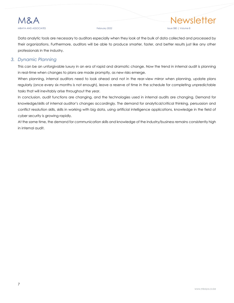

Data analytic tools are necessary to auditors especially when they look at the bulk of data collected and processed by their organizations. Furthermore, auditors will be able to produce smarter, faster, and better results just like any other professionals in the industry.

#### <span id="page-9-0"></span>*3. Dynamic Planning*

This can be an unforgivable luxury in an era of rapid and dramatic change. Now the trend in internal audit is planning in real-time when changes to plans are made promptly, as new risks emerge.

When planning, internal auditors need to look ahead and not in the rear-view mirror when planning, update plans regularly (once every six months is not enough), leave a reserve of time in the schedule for completing unpredictable tasks that will inevitably arise throughout the year.

In conclusion, audit functions are changing, and the technologies used in internal audits are changing. Demand for knowledge/skills of internal auditor's changes accordingly. The demand for analytical/critical thinking, persuasion and conflict resolution skills, skills in working with big data, using artificial intelligence applications, knowledge in the field of cyber security is growing rapidly.

At the same time, the demand for communication skills and knowledge of the industry/business remains consistently high in internal audit.